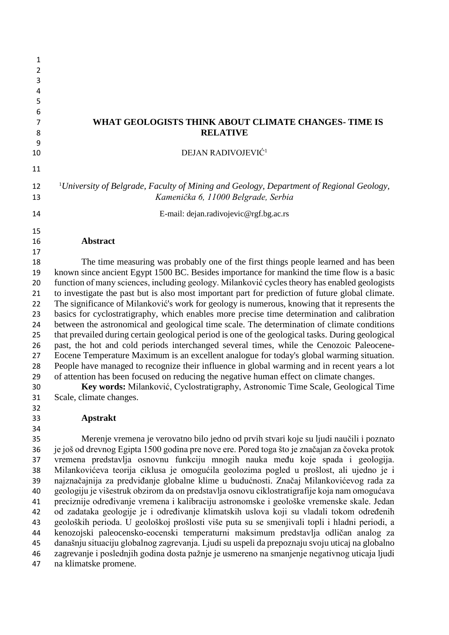| 1              |                                                                                                                                                                                             |
|----------------|---------------------------------------------------------------------------------------------------------------------------------------------------------------------------------------------|
| $\overline{2}$ |                                                                                                                                                                                             |
| 3              |                                                                                                                                                                                             |
| 4<br>5         |                                                                                                                                                                                             |
| 6              |                                                                                                                                                                                             |
| 7<br>8         | WHAT GEOLOGISTS THINK ABOUT CLIMATE CHANGES-TIME IS<br><b>RELATIVE</b>                                                                                                                      |
| 9              |                                                                                                                                                                                             |
| 10             | DEJAN RADIVOJEVIĆ <sup>1</sup>                                                                                                                                                              |
| 11             |                                                                                                                                                                                             |
| 12<br>13       | <sup>1</sup> University of Belgrade, Faculty of Mining and Geology, Department of Regional Geology,<br>Kamenička 6, 11000 Belgrade, Serbia                                                  |
| 14             | E-mail: dejan.radivojevic@rgf.bg.ac.rs                                                                                                                                                      |
| 15             |                                                                                                                                                                                             |
| 16             | Abstract                                                                                                                                                                                    |
| 17             |                                                                                                                                                                                             |
| 18             | The time measuring was probably one of the first things people learned and has been                                                                                                         |
| 19             | known since ancient Egypt 1500 BC. Besides importance for mankind the time flow is a basic                                                                                                  |
| 20             | function of many sciences, including geology. Milanković cycles theory has enabled geologists                                                                                               |
| 21             | to investigate the past but is also most important part for prediction of future global climate.                                                                                            |
| 22             | The significance of Milanković's work for geology is numerous, knowing that it represents the                                                                                               |
| 23             | basics for cyclostratigraphy, which enables more precise time determination and calibration                                                                                                 |
| 24             | between the astronomical and geological time scale. The determination of climate conditions                                                                                                 |
| 25             | that prevailed during certain geological period is one of the geological tasks. During geological                                                                                           |
| 26<br>27       | past, the hot and cold periods interchanged several times, while the Cenozoic Paleocene-<br>Eocene Temperature Maximum is an excellent analogue for today's global warming situation.       |
| 28             | People have managed to recognize their influence in global warming and in recent years a lot                                                                                                |
| 29             | of attention has been focused on reducing the negative human effect on climate changes.                                                                                                     |
| 30             | Key words: Milanković, Cyclostratigraphy, Astronomic Time Scale, Geological Time                                                                                                            |
| 31             | Scale, climate changes.                                                                                                                                                                     |
| 32             |                                                                                                                                                                                             |
| 33             | <b>Apstrakt</b>                                                                                                                                                                             |
| 34             |                                                                                                                                                                                             |
| 35             | Merenje vremena je verovatno bilo jedno od prvih stvari koje su ljudi naučili i poznato                                                                                                     |
| 36             | je još od drevnog Egipta 1500 godina pre nove ere. Pored toga što je značajan za čoveka protok                                                                                              |
| 37             | vremena predstavlja osnovnu funkciju mnogih nauka među koje spada i geologija.                                                                                                              |
| 38             | Milankovićeva teorija ciklusa je omogućila geolozima pogled u prošlost, ali ujedno je i                                                                                                     |
| 39             | najznačajnija za predviđanje globalne klime u budućnosti. Značaj Milankovićevog rada za                                                                                                     |
| 40<br>41       | geologiju je višestruk obzirom da on predstavlja osnovu ciklostratigrafije koja nam omogućava<br>preciznije određivanje vremena i kalibraciju astronomske i geološke vremenske skale. Jedan |
| 42             | od zadataka geologije je i određivanje klimatskih uslova koji su vladali tokom određenih                                                                                                    |
| 43             | geoloških perioda. U geološkoj prošlosti više puta su se smenjivali topli i hladni periodi, a                                                                                               |
| 44             | kenozojski paleocensko-eocenski temperaturni maksimum predstavlja odličan analog za                                                                                                         |
| 45             | današnju situaciju globalnog zagrevanja. Ljudi su uspeli da prepoznaju svoju uticaj na globalno                                                                                             |
| 46<br>47       | zagrevanje i poslednjih godina dosta pažnje je usmereno na smanjenje negativnog uticaja ljudi<br>na klimatske promene.                                                                      |
|                |                                                                                                                                                                                             |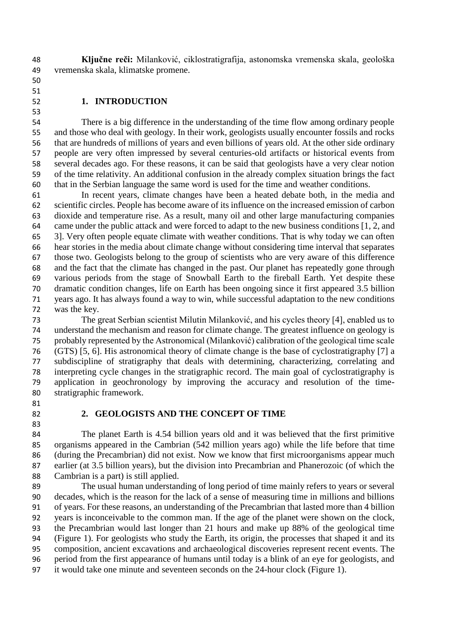**Ključne reči:** Milanković, ciklostratigrafija, astonomska vremenska skala, geološka vremenska skala, klimatske promene.

### **1. INTRODUCTION**

 There is a big difference in the understanding of the time flow among ordinary people and those who deal with geology. In their work, geologists usually encounter fossils and rocks that are hundreds of millions of years and even billions of years old. At the other side ordinary people are very often impressed by several centuries-old artifacts or historical events from several decades ago. For these reasons, it can be said that geologists have a very clear notion of the time relativity. An additional confusion in the already complex situation brings the fact that in the Serbian language the same word is used for the time and weather conditions.

 In recent years, climate changes have been a heated debate both, in the media and scientific circles. People has become aware of its influence on the increased emission of carbon dioxide and temperature rise. As a result, many oil and other large manufacturing companies came under the public attack and were forced to adapt to the new business conditions [1, 2, and 3]. Very often people equate climate with weather conditions. That is why today we can often hear stories in the media about climate change without considering time interval that separates those two. Geologists belong to the group of scientists who are very aware of this difference and the fact that the climate has changed in the past. Our planet has repeatedly gone through various periods from the stage of Snowball Earth to the fireball Earth. Yet despite these dramatic condition changes, life on Earth has been ongoing since it first appeared 3.5 billion years ago. It has always found a way to win, while successful adaptation to the new conditions was the key.

 The great Serbian scientist Milutin Milanković, and his cycles theory [4], enabled us to understand the mechanism and reason for climate change. The greatest influence on geology is probably represented by the Astronomical (Milanković) calibration of the geological time scale (GTS) [5, 6]. His astronomical theory of climate change is the base of cyclostratigraphy [7] a subdiscipline of stratigraphy that deals with determining, characterizing, correlating and interpreting cycle changes in the stratigraphic record. The main goal of cyclostratigraphy is application in geochronology by improving the accuracy and resolution of the time-stratigraphic framework.

- 
- 

### **2. GEOLOGISTS AND THE CONCEPT OF TIME**

 The planet Earth is 4.54 billion years old and it was believed that the first primitive organisms appeared in the Cambrian (542 million years ago) while the life before that time (during the Precambrian) did not exist. Now we know that first microorganisms appear much earlier (at 3.5 billion years), but the division into Precambrian and Phanerozoic (of which the Cambrian is a part) is still applied.

 The usual human understanding of long period of time mainly refers to years or several decades, which is the reason for the lack of a sense of measuring time in millions and billions of years. For these reasons, an understanding of the Precambrian that lasted more than 4 billion years is inconceivable to the common man. If the age of the planet were shown on the clock, the Precambrian would last longer than 21 hours and make up 88% of the geological time (Figure 1). For geologists who study the Earth, its origin, the processes that shaped it and its composition, ancient excavations and archaeological discoveries represent recent events. The period from the first appearance of humans until today is a blink of an eye for geologists, and it would take one minute and seventeen seconds on the 24-hour clock (Figure 1).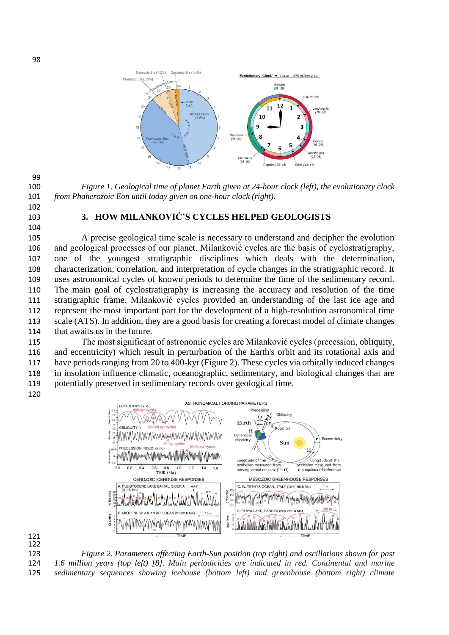

 *Figure 1. Geological time of planet Earth given at 24-hour clock (left), the evolutionary clock from Phanerozoic Eon until today given on one-hour clock (right).*

 

#### **3. HOW MILANKOVIĆ'S CYCLES HELPED GEOLOGISTS**

 A precise geological time scale is necessary to understand and decipher the evolution and geological processes of our planet. Milanković cycles are the basis of cyclostratigraphy, one of the youngest stratigraphic disciplines which deals with the determination, characterization, correlation, and interpretation of cycle changes in the stratigraphic record. It uses astronomical cycles of known periods to determine the time of the sedimentary record. The main goal of cyclostratigraphy is increasing the accuracy and resolution of the time stratigraphic frame. Milanković cycles provided an understanding of the last ice age and represent the most important part for the development of a high-resolution astronomical time scale (ATS). In addition, they are a good basis for creating a forecast model of climate changes that awaits us in the future.

 The most significant of astronomic cycles are Milanković cycles (precession, obliquity, and eccentricity) which result in perturbation of the Earth's orbit and its rotational axis and have periods ranging from 20 to 400-kyr (Figure 2). These cycles via orbitally induced changes in insolation influence climatic, oceanographic, sedimentary, and biological changes that are potentially preserved in sedimentary records over geological time. 





 *Figure 2. Parameters affecting Earth-Sun position (top right) and oscillations shown for past 1.6 million years (top left) [8]. Main periodicities are indicated in red. Continental and marine sedimentary sequences showing icehouse (bottom left) and greenhouse (bottom right) climate*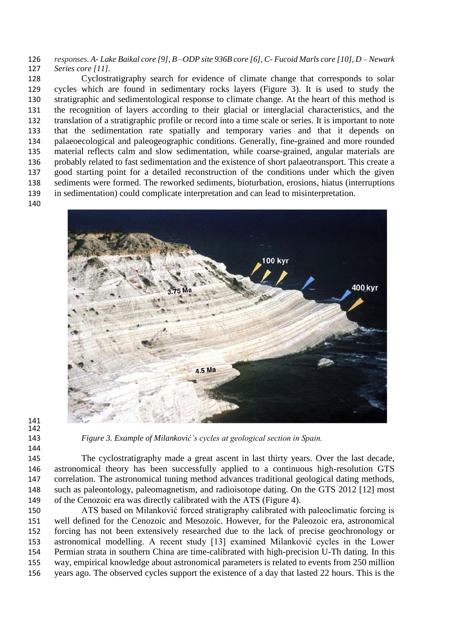*responses. A- Lake Baikal core [9], B –ODP site 936B core [6], C- Fucoid Marls core [10], D – Newark Series core [11].* 

 Cyclostratigraphy search for evidence of climate change that corresponds to solar cycles which are found in sedimentary rocks layers (Figure 3). It is used to study the stratigraphic and sedimentological response to climate change. At the heart of this method is the recognition of layers according to their glacial or interglacial characteristics, and the translation of a stratigraphic profile or record into a time scale or series. It is important to note that the sedimentation rate spatially and temporary varies and that it depends on palaeoecological and paleogeographic conditions. Generally, fine-grained and more rounded material reflects calm and slow sedimentation, while coarse-grained, angular materials are probably related to fast sedimentation and the existence of short palaeotransport. This create a good starting point for a detailed reconstruction of the conditions under which the given sediments were formed. The reworked sediments, bioturbation, erosions, hiatus (interruptions in sedimentation) could complicate interpretation and can lead to misinterpretation.



 

*Figure 3. Example of Milanković's cycles at geological section in Spain.*

 The cyclostratigraphy made a great ascent in last thirty years. Over the last decade, astronomical theory has been successfully applied to a continuous high-resolution GTS correlation. The astronomical tuning method advances traditional geological dating methods, such as paleontology, paleomagnetism, and radioisotope dating. On the GTS 2012 [12] most of the Cenozoic era was directly calibrated with the ATS (Figure 4).

 ATS based on Milanković forced stratigraphy calibrated with paleoclimatic forcing is well defined for the Cenozoic and Mesozoic. However, for the Paleozoic era, astronomical forcing has not been extensively researched due to the lack of precise geochronology or astronomical modelling. A recent study [13] examined Milanković cycles in the Lower Permian strata in southern China are time-calibrated with high-precision U-Th dating. In this way, empirical knowledge about astronomical parameters is related to events from 250 million years ago. The observed cycles support the existence of a day that lasted 22 hours. This is the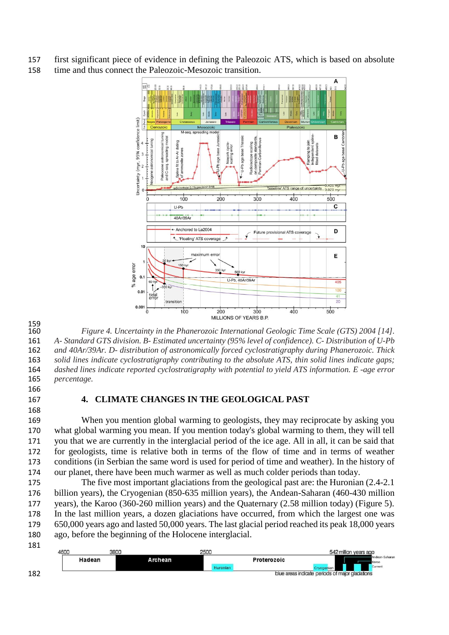first significant piece of evidence in defining the Paleozoic ATS, which is based on absolute time and thus connect the Paleozoic-Mesozoic transition.



 *Figure 4. Uncertainty in the Phanerozoic International Geologic Time Scale (GTS) 2004 [14]. A- Standard GTS division. B- Estimated uncertainty (95% level of confidence). C- Distribution of U-Pb and 40Ar/39Ar. D- distribution of astronomically forced cyclostratigraphy during Phanerozoic. Thick solid lines indicate cyclostratigraphy contributing to the absolute ATS, thin solid lines indicate gaps; dashed lines indicate reported cyclostratigraphy with potential to yield ATS information. E -age error percentage.* 

## **4. CLIMATE CHANGES IN THE GEOLOGICAL PAST**

 When you mention global warming to geologists, they may reciprocate by asking you what global warming you mean. If you mention today's global warming to them, they will tell you that we are currently in the interglacial period of the ice age. All in all, it can be said that for geologists, time is relative both in terms of the flow of time and in terms of weather conditions (in Serbian the same word is used for period of time and weather). In the history of our planet, there have been much warmer as well as much colder periods than today.

 The five most important glaciations from the geological past are: the Huronian (2.4-2.1 billion years), the Cryogenian (850-635 million years), the Andean-Saharan (460-430 million years), the Karoo (360-260 million years) and the Quaternary (2.58 million today) (Figure 5). In the last million years, a dozen glaciations have occurred, from which the largest one was 650,000 years ago and lasted 50,000 years. The last glacial period reached its peak 18,000 years ago, before the beginning of the Holocene interglacial.

 542 million years ago Hadean Archean Proterozoic **Expression Cryogenian**<br>blue areas indicate periods of major gladation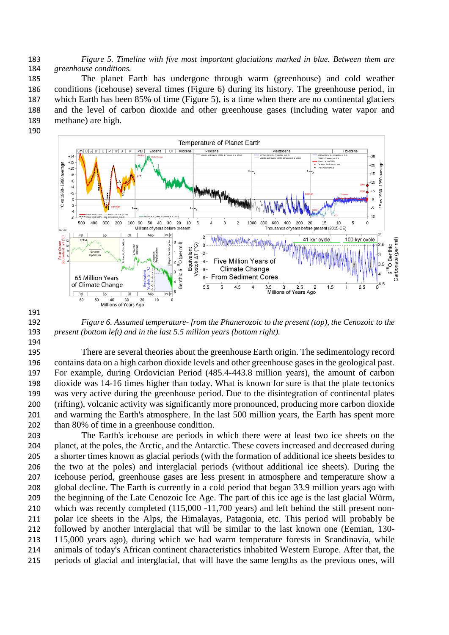*Figure 5. Timeline with five most important glaciations marked in blue. Between them are greenhouse conditions.*

 The planet Earth has undergone through warm (greenhouse) and cold weather conditions (icehouse) several times (Figure 6) during its history. The greenhouse period, in which Earth has been 85% of time (Figure 5), is a time when there are no continental glaciers and the level of carbon dioxide and other greenhouse gases (including water vapor and methane) are high.



 *Figure 6. Assumed temperature- from the Phanerozoic to the present (top), the Cenozoic to the present (bottom left) and in the last 5.5 million years (bottom right).*

 There are several theories about the greenhouse Earth origin. The sedimentology record contains data on a high carbon dioxide levels and other greenhouse gases in the geological past. For example, during Ordovician Period (485.4-443.8 million years), the amount of carbon dioxide was 14-16 times higher than today. What is known for sure is that the plate tectonics was very active during the greenhouse period. Due to the disintegration of continental plates (rifting), volcanic activity was significantly more pronounced, producing more carbon dioxide and warming the Earth's atmosphere. In the last 500 million years, the Earth has spent more than 80% of time in a greenhouse condition.

 The Earth's icehouse are periods in which there were at least two ice sheets on the planet, at the poles, the Arctic, and the Antarctic. These covers increased and decreased during a shorter times known as glacial periods (with the formation of additional ice sheets besides to the two at the poles) and interglacial periods (without additional ice sheets). During the icehouse period, greenhouse gases are less present in atmosphere and temperature show a global decline. The Earth is currently in a cold period that began 33.9 million years ago with the beginning of the Late Cenozoic Ice Age. The part of this ice age is the last glacial Würm, which was recently completed (115,000 -11,700 years) and left behind the still present non- polar ice sheets in the Alps, the Himalayas, Patagonia, etc. This period will probably be followed by another interglacial that will be similar to the last known one (Eemian, 130- 115,000 years ago), during which we had warm temperature forests in Scandinavia, while animals of today's African continent characteristics inhabited Western Europe. After that, the periods of glacial and interglacial, that will have the same lengths as the previous ones, will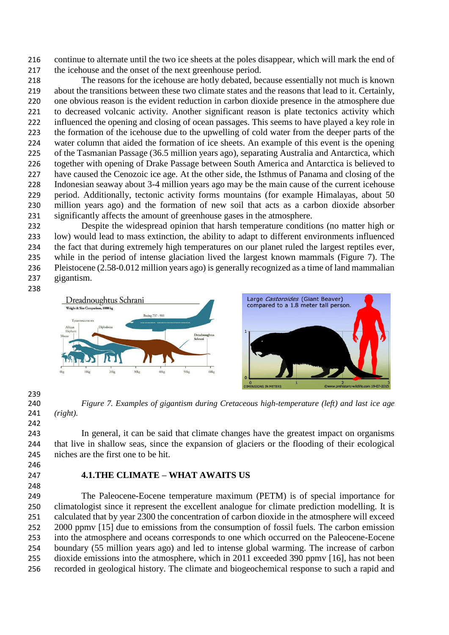continue to alternate until the two ice sheets at the poles disappear, which will mark the end of the icehouse and the onset of the next greenhouse period.

 The reasons for the icehouse are hotly debated, because essentially not much is known about the transitions between these two climate states and the reasons that lead to it. Certainly, one obvious reason is the evident reduction in carbon dioxide presence in the atmosphere due to decreased volcanic activity. Another significant reason is plate tectonics activity which influenced the opening and closing of ocean passages. This seems to have played a key role in the formation of the icehouse due to the upwelling of cold water from the deeper parts of the water column that aided the formation of ice sheets. An example of this event is the opening of the Tasmanian Passage (36.5 million years ago), separating Australia and Antarctica, which together with opening of Drake Passage between South America and Antarctica is believed to have caused the Cenozoic ice age. At the other side, the Isthmus of Panama and closing of the Indonesian seaway about 3-4 million years ago may be the main cause of the current icehouse period. Additionally, tectonic activity forms mountains (for example Himalayas, about 50 million years ago) and the formation of new soil that acts as a carbon dioxide absorber significantly affects the amount of greenhouse gases in the atmosphere.

 Despite the widespread opinion that harsh temperature conditions (no matter high or low) would lead to mass extinction, the ability to adapt to different environments influenced the fact that during extremely high temperatures on our planet ruled the largest reptiles ever, while in the period of intense glaciation lived the largest known mammals (Figure 7). The Pleistocene (2.58-0.012 million years ago) is generally recognized as a time of land mammalian gigantism.



 *Figure 7. Examples of gigantism during Cretaceous high-temperature (left) and last ice age (right).*

 In general, it can be said that climate changes have the greatest impact on organisms that live in shallow seas, since the expansion of glaciers or the flooding of their ecological niches are the first one to be hit.

- 
- 

# **4.1.THE CLIMATE – WHAT AWAITS US**

 The Paleocene-Eocene temperature maximum (PETM) is of special importance for climatologist since it represent the excellent analogue for climate prediction modelling. It is calculated that by year 2300 the concentration of carbon dioxide in the atmosphere will exceed 252 2000 ppmv [15] due to emissions from the consumption of fossil fuels. The carbon emission into the atmosphere and oceans corresponds to one which occurred on the Paleocene-Eocene boundary (55 million years ago) and led to intense global warming. The increase of carbon dioxide emissions into the atmosphere, which in 2011 exceeded 390 ppmv [16], has not been recorded in geological history. The climate and biogeochemical response to such a rapid and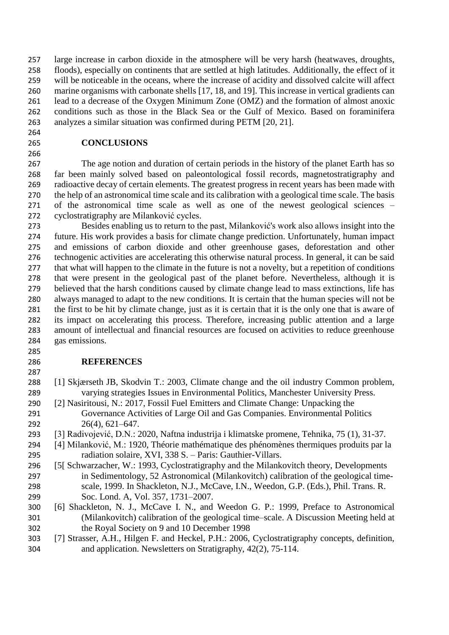large increase in carbon dioxide in the atmosphere will be very harsh (heatwaves, droughts, floods), especially on continents that are settled at high latitudes. Additionally, the effect of it will be noticeable in the oceans, where the increase of acidity and dissolved calcite will affect marine organisms with carbonate shells [17, 18, and 19]. This increase in vertical gradients can lead to a decrease of the Oxygen Minimum Zone (OMZ) and the formation of almost anoxic conditions such as those in the Black Sea or the Gulf of Mexico. Based on foraminifera analyzes a similar situation was confirmed during PETM [20, 21].

# **CONCLUSIONS**

 The age notion and duration of certain periods in the history of the planet Earth has so far been mainly solved based on paleontological fossil records, magnetostratigraphy and radioactive decay of certain elements. The greatest progress in recent years has been made with the help of an astronomical time scale and its calibration with a geological time scale. The basis of the astronomical time scale as well as one of the newest geological sciences – cyclostratigraphy are Milanković cycles.

 Besides enabling us to return to the past, Milanković's work also allows insight into the future. His work provides a basis for climate change prediction. Unfortunately, human impact and emissions of carbon dioxide and other greenhouse gases, deforestation and other technogenic activities are accelerating this otherwise natural process. In general, it can be said that what will happen to the climate in the future is not a novelty, but a repetition of conditions that were present in the geological past of the planet before. Nevertheless, although it is believed that the harsh conditions caused by climate change lead to mass extinctions, life has always managed to adapt to the new conditions. It is certain that the human species will not be the first to be hit by climate change, just as it is certain that it is the only one that is aware of its impact on accelerating this process. Therefore, increasing public attention and a large amount of intellectual and financial resources are focused on activities to reduce greenhouse gas emissions.

## **REFERENCES**

- [1] Skjærseth JB, Skodvin T.: 2003, Climate change and the oil industry Common problem, varying strategies Issues in Environmental Politics, Manchester University Press.
- [2] Nasiritousi, N.: 2017, Fossil Fuel Emitters and Climate Change: Unpacking the Governance Activities of Large Oil and Gas Companies. Environmental Politics 26(4), 621–647.
- [3] Radivojević, D.N.: 2020, Naftna industrija i klimatske promene, Tehnika, 75 (1), 31-37.
- [4] Milanković, M.: 1920, Théorie mathématique des phénomènes thermiques produits par la radiation solaire, XVI, 338 S. – Paris: Gauthier-Villars.
- [5[ Schwarzacher, W.: 1993, Cyclostratigraphy and the Milankovitch theory, Developments in Sedimentology, 52 Astronomical (Milankovitch) calibration of the geological time- scale, 1999. In Shackleton, N.J., McCave, I.N., Weedon, G.P. (Eds.), Phil. Trans. R. Soc. Lond. A, Vol. 357, 1731–2007.
- [6] Shackleton, N. J., McCave I. N., and Weedon G. P.: 1999, Preface to Astronomical (Milankovitch) calibration of the geological time–scale. A Discussion Meeting held at the Royal Society on 9 and 10 December 1998
- [7] Strasser, A.H., Hilgen F. and Heckel, P.H.: 2006, Cyclostratigraphy concepts, definition, and application. Newsletters on Stratigraphy, 42(2), 75-114.